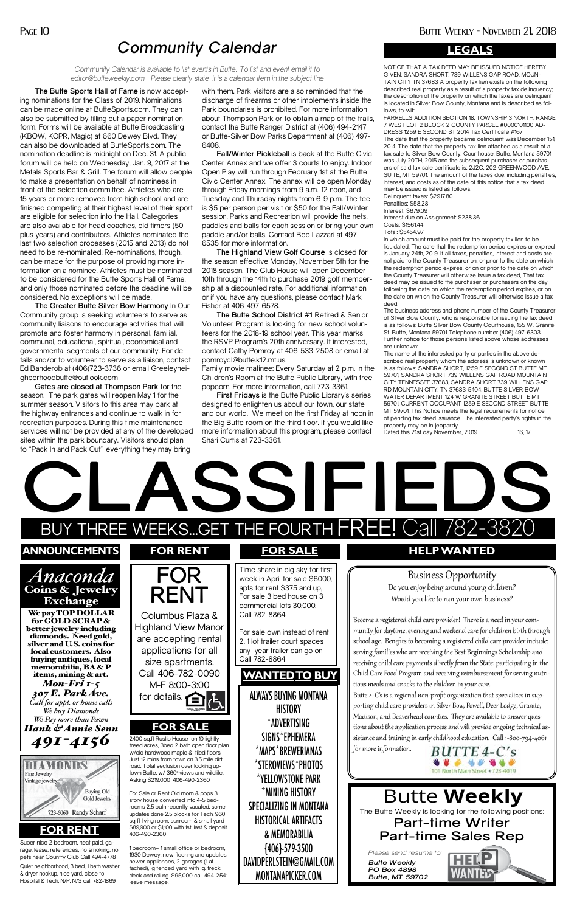The Butte Weekly is looking for the following positions:

### **Part-time Writer Part-time Sales Rep**

*Please send resume to:*

*Butte Weekly PO Box 4898 Butte, MT 59702*

# Butte **Weekly**

**The Butte Sports Hall of Fame** is now accepting nominations for the Class of 2019. Nominations can be made online at ButteSports.com. They can also be submitted by filling out a paper nomination form. Forms will be available at Butte Broadcasting (KBOW, KOPR, Magic) at 660 Dewey Blvd. They can also be downloaded at ButteSports.com. The nomination deadline is midnight on Dec. 31. A public forum will be held on Wednesday, Jan. 9, 2017 at the Metals Sports Bar & Grill. The forum will allow people to make a presentation on behalf of nominees in front of the selection committee. Athletes who are 15 years or more removed from high school and are finished competing at their highest level of their sport are eligible for selection into the Hall. Categories are also available for head coaches, old timers (50 plus years) and contributors. Athletes nominated the last two selection processes (2015 and 2013) do not need to be re-nominated. Re-nominations, though, can be made for the purpose of providing more information on a nominee. Athletes must be nominated to be considered for the Butte Sports Hall of Fame, and only those nominated before the deadline will be considered. No exceptions will be made.

**The Greater Butte Silver Bow Harmony** In Our Community group is seeking volunteers to serve as community liaisons to encourage activities that will promote and foster harmony in personal, familial, communal, educational, spiritual, economical and governmental segments of our community. For details and/or to volunteer to serve as a liaison, contact Ed Banderob at (406)723-3736 or email Greeleyneighborhoodbutte@outlook.com

**Gates are closed at Thompson Park** for the season. The park gates will reopen May 1 for the summer season. Visitors to this area may park at the highway entrances and continue to walk in for recreation purposes. During this time maintenance services will not be provided at any of the developed sites within the park boundary. Visitors should plan to "Pack In and Pack Out" everything they may bring

with them. Park visitors are also reminded that the discharge of firearms or other implements inside the Park boundaries is prohibited. For more information about Thompson Park or to obtain a map of the trails, contact the Butte Ranger District at (406) 494-2147 or Butte-Silver Bow Parks Department at (406) 497- 6408.

**Fall/Winter Picklebal**l is back at the Butte Civic Center Annex and we offer 3 courts to enjoy. Indoor Open Play will run through February 1st at the Butte Civic Center Annex. The annex will be open Monday through Friday mornings from 9 a.m.-12 noon, and Tuesday and Thursday nights from 6-9 p.m. The fee is \$5 per person per visit or \$50 for the Fall/Winter session. Parks and Recreation will provide the nets, paddles and balls for each session or bring your own paddle and/or balls. Contact Bob Lazzari at 497- 6535 for more information.

**The Highland View Golf Course** is closed for the season effective Monday, November 5th for the 2018 season. The Club House will open December 10th through the 14th to purchase 2019 golf membership at a discounted rate. For additional information or if you have any questions, please contact Mark Fisher at 406-497-6578.

o "Pack In and Pack Out" everything they may bring<br> **CLASS CONTINUES IN A CALACTER OF A CALACTER OF A CALACTER OF A CALACTER OF A CALACTER OF A CALACTER** BUY THREE WEEKS...GET THE FOURTH  $\sf FREF!$  Call  $782$ -3820 SSIFIEDS<br>THE FOURTH FREE! Call 782-382 **announcements** *Anaconda*  Coins & Jewelry Exchange We pay TOP DOLLAR for GOLD SCRAP & better jewelry including diamonds. Need gold, silver and U.S. coins for local customers. Also buying antiques, local **FOR RENT** Columbus Plaza & Highland View Manor are accepting rental applications for all size apartments. Time share in big sky for first week in April for sale \$6000, apts for rent \$375 and up, For sale 3 bed house on 3 commercial lots 30,000, Call 782-8864 For sale own instead of rent 2, 1 lot trailer court spaces any year trailer can go on Call 782-8864 **FOR RENT FOR SALE HELP WANTED** Business Opportunity Do you enjoy being around young children? Would you like to run your own business? Become a registered child care provider! There is a need in your community for daytime, evening and weekend care for children birth through school age. Benefits to becoming a registered child care provider include: serving families who are receiving the Best Beginnings Scholarship and receiving child care payments directly from the State; participating in the

**The Butte School District #1** Retired & Senior Volunteer Program is looking for new school volunteers for the 2018-19 school year. This year marks the RSVP Program's 20th anniversary. If interested, contact Cathy Pomroy at 406-533-2508 or email at pomroycl@butte.k12.mt.us.

Family movie matinee: Every Saturday at 2 p.m. in the Children's Room at the Butte Public Library, with free popcorn. For more information, call 723-3361.

**First Fridays** is the Butte Public Library's series designed to enlighten us about our town, our state and our world. We meet on the first Friday at noon in the Big Butte room on the third floor. If you would like more information about this program, please contact Shari Curtis at 723-3361.

## *Community Calendar*

*Community Calendar is available to list events in Butte. To list and event email it to editor@butteweekly.com. Please clearly state it is a calendar item in the subject line*

memorabilia, BA & P



items, mining & art. *Mon-Fri 1-5 307 E. Park Ave. Call for appt. or house calls We buy Diamonds We Pay more than Pawn Hank & Annie Senn 491-4156*

ALWAYS BUYING MONTANA **HISTORY** \*ADVERTISING SIGNS\*EPHEMERA \*MAPS\*BREWERIANAS \*STEROVIEWS\*PHOTOS \*YELLOWSTONE PARK \*MINING HISTORY SPECIALIZING IN MONTANA HISTORICAL ARTIFACTS & MEMORABILIA {406}-579-3500 DAVIDPERLSTEIN@GMAIL.COM

MONTANAPICKER.COM

#### **FOR RENT**



#### **FOR SALE**

2400 sq.ft Rustic House on 10 lightly treed acres, 3bed 2 bath open floor plan w/old hardwood maple & tiled floors. Just 12 mins from town on 3.5 mile dirt road. Total seclusion over looking uptown Butte, w/ 360° views and wildlife. Asking \$219,000 406-490-2360

Quiet neighborhood, 3 bed, 1 bath washer & dryer hookup, nice yard, close to Hospital & Tech, N/P, N/S call 782-1869 Super nice 2 bedroom, heat paid, garage, lease, references, no smoking, no pets near Country Club Call 494-4778

For Sale or Rent Old mom & pops 3 story house converted into 4-5 bedrooms 2.5 bath recently vacated, some updates done 2.5 blocks for Tech, 960 sq ft living room, sunroom & small yard \$89,900 or \$1,100 with 1st, last & deposit. 406-490-2360

1 bedroom+ 1 small office or bedroom, 1930 Dewey, new flooring and updates, newer appliances, 2 garages (1 attached), lg fenced yard with lg. treck deck and railing. \$95,000 call 494-2541 leave message.

**WANTEDTO BUY** 

Child Care Food Program and receiving reimbursement for serving nutritious meals and snacks to the children in your care.

Butte 4-C's is a regional non-profit organization that specializes in supporting child care providers in Silver Bow, Powell, Deer Lodge, Granite, Madison, and Beaverhead counties. They are available to answer questions about the application process and will provide ongoing technical assistance and training in early childhood education. Call 1-800-794-4061

for more information.



WANTED

NOTICE THAT A TAX DEED MAY BE ISSUED NOTICE HEREBY GIVEN: SANDRA SHORT, 739 WILLENS GAP ROAD. MOUN-TAIN CITY TN 37683 A property tax lien exists on the following described real property as a result of a property tax delinquency; the description of the property on which the taxes are delinquent is located in Silver Bow County, Montana and is described as follows, to-wit:

FARRELLS ADDITION SECTION 18, TOWNSHIP 3 NORTH, RANGE 7 WEST LOT 2 BLOCK 2 COUNTY PARCEL #0000101100 AD-DRESS 1259 E SECOND ST 2014 Tax Certificate #167 The date that the property became delinquent was December 151, 2014. The date that the property tax lien attached as a result of a tax sale to Silver Bow County, Courthouse, Butte, Montana 59701 was July 20TH, 2015 and the subsequent purchaser or purchasers of said tax sale certificate is: 2J2C, 202 GREENWOOD AVE, SUITE, MT 59701. The amount of the taxes due, including penalties, interest, and costs as of the date of this notice that a tax deed may be issued is listed as follows:

Delinquent taxes: \$2917.80 Penalties: \$58.28 Interest: \$679.09 Interest due on Assignment: \$238.36 Costs: \$1561.44 Total: \$5454.97

In which amount must be paid for the property tax lien to be liquidated. The date that the redemption period expires or expired is January 24th, 2019. If all taxes, penalties, interest and costs are not paid to the County Treasurer on, or prior to the date on which the redemption period expires, or on or prior to the date on which the County Treasurer will otherwise issue a tax deed, That tax deed may be issued to the purchaser or purchasers on the day following the date on which the redemption period expires, or on the date on which the County Treasurer will otherwise issue a tax deed.

The business address and phone number of the County Treasurer of Silver Bow County, who is responsible for issuing the tax deed is as follows: Butte Silver Bow County Courthouse, 155 W. Granite St. Butte, Montana 59701 Telephone number (406) 497-6303 Further notice for those persons listed above whose addresses are unknown:

The name of the interested party or parties in the above described real property whom the address is unknown or known is as follows: SANDRA SHORT, 1259 E SECOND ST BUTTE MT 59701, SANDRA SHORT 739 WILLENS GAP ROAD MOUNTAIN CITY TENNESSEE 37683, SANDRA SHORT 739 WILLENS GAP RD MOUNTAIN CITY, TN 37683-5404, BUTTE SILVER BOW WATER DEPARTMENT 124 W GRANITE STREET BUTTE MT 59701, CURRENT OCCUPANT 1259 E SECOND STREET BUTTE MT 59701. This Notice meets the legal requirements for notice of pending tax deed issuance. The interested party's rights in the property may be in jeopardy.

Dated this 21st day November, 2.019 16, 17

#### **LEGALS**